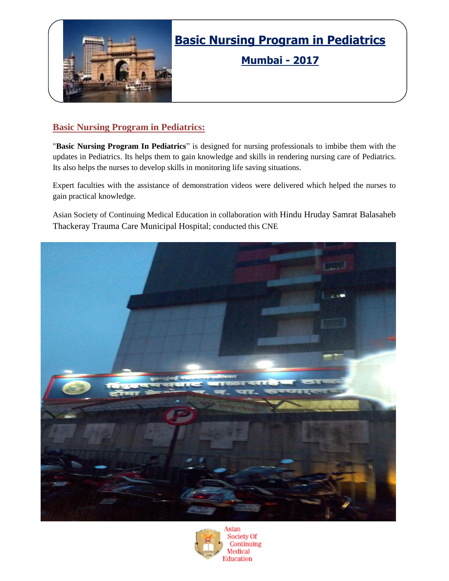

# **Basic Nursing Program in Pediatrics**

**Mumbai - 2017**

### **Basic Nursing Program in Pediatrics:**

"**Basic Nursing Program In Pediatrics**" is designed for nursing professionals to imbibe them with the updates in Pediatrics. Its helps them to gain knowledge and skills in rendering nursing care of Pediatrics. Its also helps the nurses to develop skills in monitoring life saving situations.

Expert faculties with the assistance of demonstration videos were delivered which helped the nurses to gain practical knowledge.

Asian Society of Continuing Medical Education in collaboration with Hindu Hruday Samrat Balasaheb Thackeray Trauma Care Municipal Hospital; conducted this CNE



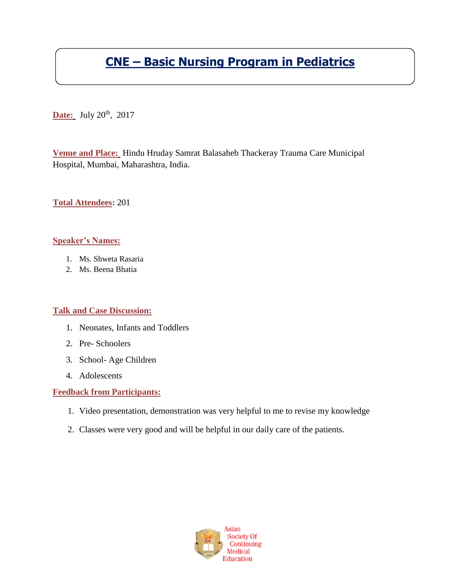# **CNE – Basic Nursing Program in Pediatrics**

**Date:** July 20<sup>th</sup>, 2017

**Venue and Place:** Hindu Hruday Samrat Balasaheb Thackeray Trauma Care Municipal Hospital, Mumbai, Maharashtra, India.

**Total Attendees:** 201

#### **Speaker's Names:**

- 1. Ms. Shweta Rasaria
- 2. Ms. Beena Bhatia

#### **Talk and Case Discussion:**

- 1. Neonates, Infants and Toddlers
- 2. Pre- Schoolers
- 3. School- Age Children
- 4. Adolescents

#### **Feedback from Participants:**

- 1. Video presentation, demonstration was very helpful to me to revise my knowledge
- 2. Classes were very good and will be helpful in our daily care of the patients.

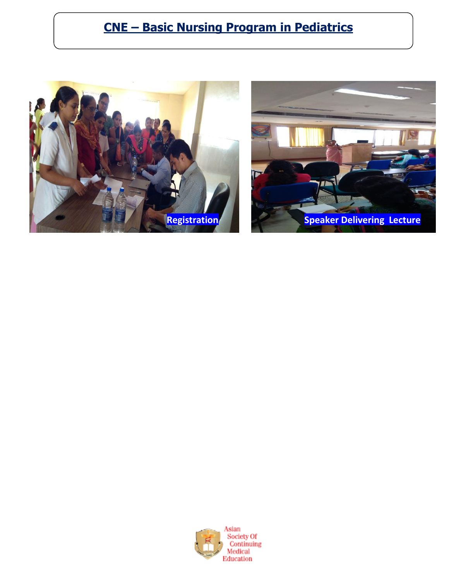# **CNE – Basic Nursing Program in Pediatrics**